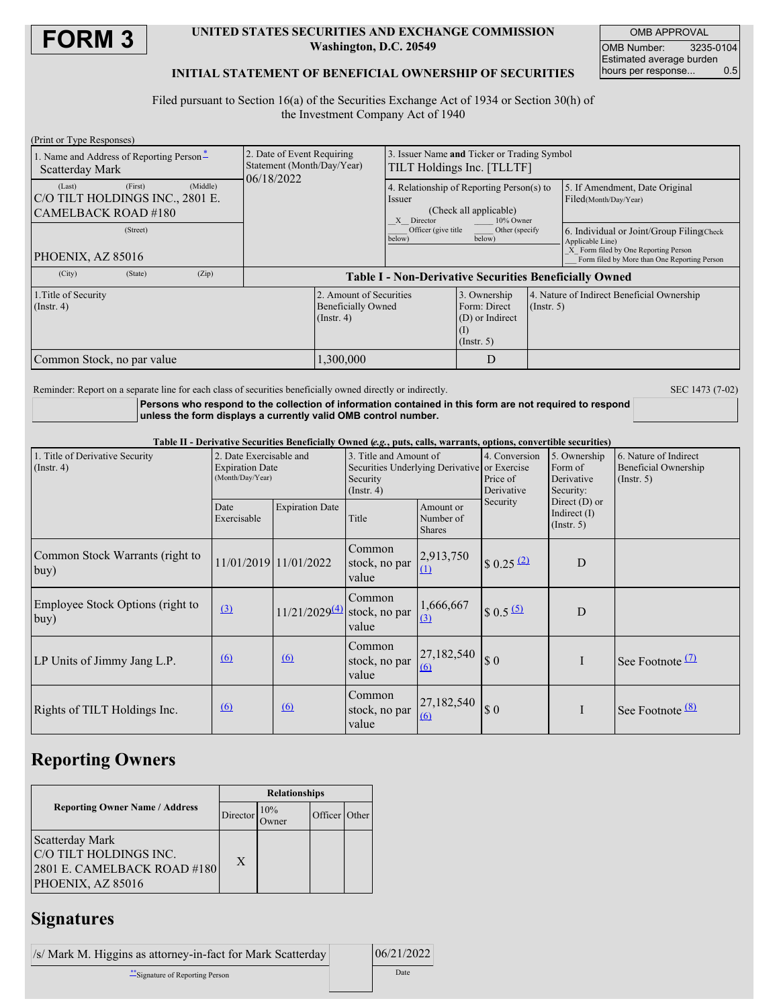

### **UNITED STATES SECURITIES AND EXCHANGE COMMISSION Washington, D.C. 20549**

OMB APPROVAL OMB Number: 3235-0104 Estimated average burden<br>hours per response... 0.5 hours per response...

### **INITIAL STATEMENT OF BENEFICIAL OWNERSHIP OF SECURITIES**

Filed pursuant to Section 16(a) of the Securities Exchange Act of 1934 or Section 30(h) of the Investment Company Act of 1940

| (Print or Type Responses)                                                                                            |                                                               |                                                            |                                                                     |                                                                                                       |                                              |  |
|----------------------------------------------------------------------------------------------------------------------|---------------------------------------------------------------|------------------------------------------------------------|---------------------------------------------------------------------|-------------------------------------------------------------------------------------------------------|----------------------------------------------|--|
| 1. Name and Address of Reporting Person-                                                                             | 2. Date of Event Requiring<br>Statement (Month/Day/Year)      | Issuer Name and Ticker or Trading Symbol                   |                                                                     |                                                                                                       |                                              |  |
| Scatterday Mark                                                                                                      | 06/18/2022                                                    | TILT Holdings Inc. [TLLTF]                                 |                                                                     |                                                                                                       |                                              |  |
| (First)<br>(Middle)<br>(Last)                                                                                        |                                                               | 4. Relationship of Reporting Person(s) to                  |                                                                     |                                                                                                       | 5. If Amendment, Date Original               |  |
| C/O TILT HOLDINGS INC., 2801 E.                                                                                      |                                                               | Issuer                                                     |                                                                     |                                                                                                       | Filed(Month/Day/Year)                        |  |
| CAMELBACK ROAD #180                                                                                                  |                                                               | (Check all applicable)<br>Director<br>10% Owner<br>X       |                                                                     |                                                                                                       |                                              |  |
| (Street)                                                                                                             |                                                               | Officer (give title<br>Other (specify)<br>below)<br>below) |                                                                     | 6. Individual or Joint/Group Filing Check<br>Applicable Line)<br>X Form filed by One Reporting Person |                                              |  |
| PHOENIX, AZ 85016                                                                                                    |                                                               |                                                            |                                                                     |                                                                                                       | Form filed by More than One Reporting Person |  |
| (Zip)<br>(City)<br>(State)                                                                                           | <b>Table I - Non-Derivative Securities Beneficially Owned</b> |                                                            |                                                                     |                                                                                                       |                                              |  |
| 2. Amount of Securities<br>1. Title of Security<br><b>Beneficially Owned</b><br>$($ Instr. 4 $)$<br>$($ Instr. 4 $)$ |                                                               |                                                            | 3. Ownership<br>Form: Direct<br>(D) or Indirect<br>$($ Instr. 5 $)$ | $($ Instr. 5 $)$                                                                                      | 4. Nature of Indirect Beneficial Ownership   |  |
| 1.300.000<br>Common Stock, no par value                                                                              |                                                               |                                                            | D                                                                   |                                                                                                       |                                              |  |

Reminder: Report on a separate line for each class of securities beneficially owned directly or indirectly. SEC 1473 (7-02)

**Persons who respond to the collection of information contained in this form are not required to respond unless the form displays a currently valid OMB control number.**

Table II - Derivative Securities Beneficially Owned (e.g., puts, calls, warrants, options, convertible securities)

| 1. Title of Derivative Security<br>$($ Instr. 4 $)$ | 2. Date Exercisable and<br><b>Expiration Date</b><br>(Month/Day/Year) |                                  | 3. Title and Amount of<br>Securities Underlying Derivative or Exercise<br>Security<br>$($ Instr. 4 $)$ |                                         | 4. Conversion<br>Price of<br>Derivative | 5. Ownership<br>Form of<br>Derivative<br>Security:    | 6. Nature of Indirect<br>Beneficial Ownership<br>$($ Instr. 5 $)$ |  |
|-----------------------------------------------------|-----------------------------------------------------------------------|----------------------------------|--------------------------------------------------------------------------------------------------------|-----------------------------------------|-----------------------------------------|-------------------------------------------------------|-------------------------------------------------------------------|--|
|                                                     | Date<br>Exercisable                                                   | <b>Expiration Date</b>           | Title                                                                                                  | Amount or<br>Number of<br><b>Shares</b> | Security                                | Direct $(D)$ or<br>Indirect $(I)$<br>$($ Instr. 5 $)$ |                                                                   |  |
| Common Stock Warrants (right to<br>buy)             |                                                                       | 11/01/2019 11/01/2022            | Common<br>stock, no par<br>value                                                                       | 2,913,750                               | $\frac{1}{2}$ 0.25 (2)                  | D                                                     |                                                                   |  |
| Employee Stock Options (right to<br>buy)            | $\Omega$                                                              | $11/21/2029^{(4)}$ stock, no par | Common<br>value                                                                                        | 1,666,667<br>(3)                        | $$0.5 \frac{(5)}{2}$                    | D                                                     |                                                                   |  |
| LP Units of Jimmy Jang L.P.                         | $\underline{(6)}$                                                     | 6                                | Common<br>stock, no par<br>value                                                                       | 27,182,540<br>(6)                       | $\Omega$                                | $\mathbf{I}$                                          | See Footnote $(7)$                                                |  |
| Rights of TILT Holdings Inc.                        | 6                                                                     | 6                                | Common<br>stock, no par<br>value                                                                       | 27,182,540<br>(6)                       | \$0                                     | $\mathbf{I}$                                          | See Footnote <sup>(8)</sup>                                       |  |

### **Reporting Owners**

|                                                                                               | <b>Relationships</b> |     |               |  |  |
|-----------------------------------------------------------------------------------------------|----------------------|-----|---------------|--|--|
| <b>Reporting Owner Name / Address</b>                                                         | Director             | 10% | Officer Other |  |  |
| Scatterday Mark<br>C/O TILT HOLDINGS INC.<br>2801 E. CAMELBACK ROAD #180<br>PHOENIX, AZ 85016 | X                    |     |               |  |  |

## **Signatures**

| /s/ Mark M. Higgins as attorney-in-fact for Mark Scatterday |  | 06/21/2022 |
|-------------------------------------------------------------|--|------------|
| **Signature of Reporting Person                             |  | Date       |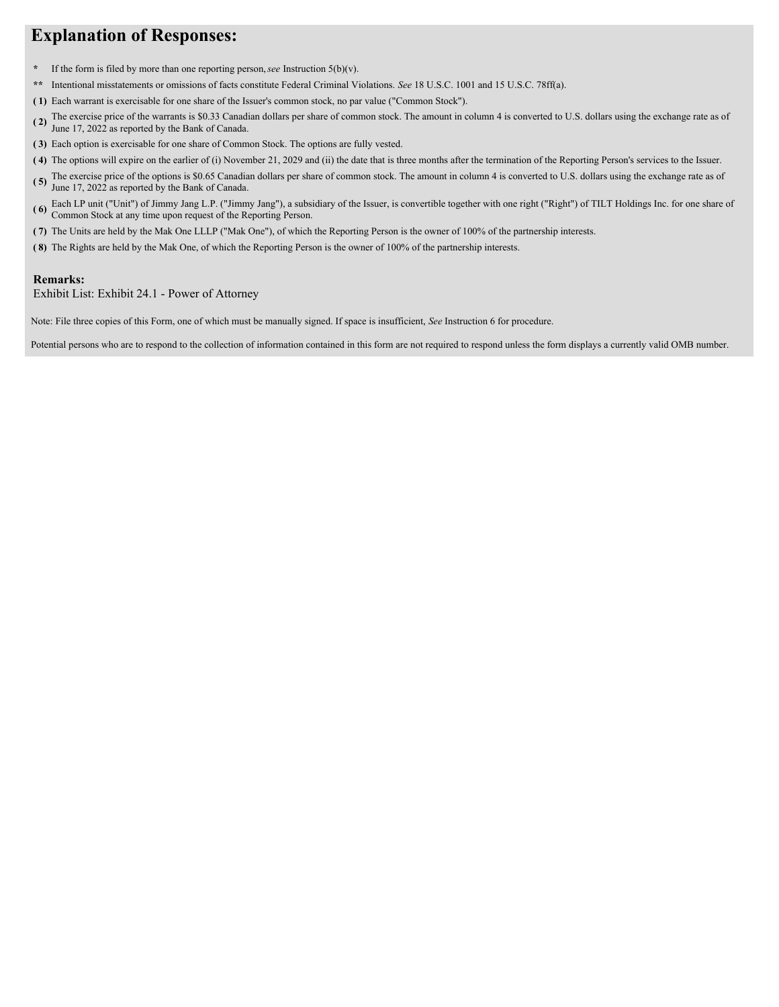# **Explanation of Responses:**

- **\*** If the form is filed by more than one reporting person,*see* Instruction 5(b)(v).
- **\*\*** Intentional misstatements or omissions of facts constitute Federal Criminal Violations. *See* 18 U.S.C. 1001 and 15 U.S.C. 78ff(a).
- **( 1)** Each warrant is exercisable for one share of the Issuer's common stock, no par value ("Common Stock").
- **( 2)** The exercise price of the warrants is \$0.33 Canadian dollars per share of common stock. The amount in column 4 is converted to U.S. dollars using the exchange rate as of June 17, 2022 as reported by the Bank of Canada.
- **( 3)** Each option is exercisable for one share of Common Stock. The options are fully vested.
- **( 4)** The options will expire on the earlier of (i) November 21, 2029 and (ii) the date that is three months after the termination of the Reporting Person's services to the Issuer.
- **( 5)** The exercise price of the options is \$0.65 Canadian dollars per share of common stock. The amount in column 4 is converted to U.S. dollars using the exchange rate as of June 17, 2022 as reported by the Bank of Canada.
- **( 6)** Each LP unit ("Unit") of Jimmy Jang L.P. ("Jimmy Jang"), a subsidiary of the Issuer, is convertible together with one right ("Right") of TILT Holdings Inc. for one share of Common Stock at any time upon request of the Reporting Person.
- **( 7)** The Units are held by the Mak One LLLP ("Mak One"), of which the Reporting Person is the owner of 100% of the partnership interests.
- **( 8)** The Rights are held by the Mak One, of which the Reporting Person is the owner of 100% of the partnership interests.

### **Remarks:**

Exhibit List: Exhibit 24.1 - Power of Attorney

Note: File three copies of this Form, one of which must be manually signed. If space is insufficient, *See* Instruction 6 for procedure.

Potential persons who are to respond to the collection of information contained in this form are not required to respond unless the form displays a currently valid OMB number.